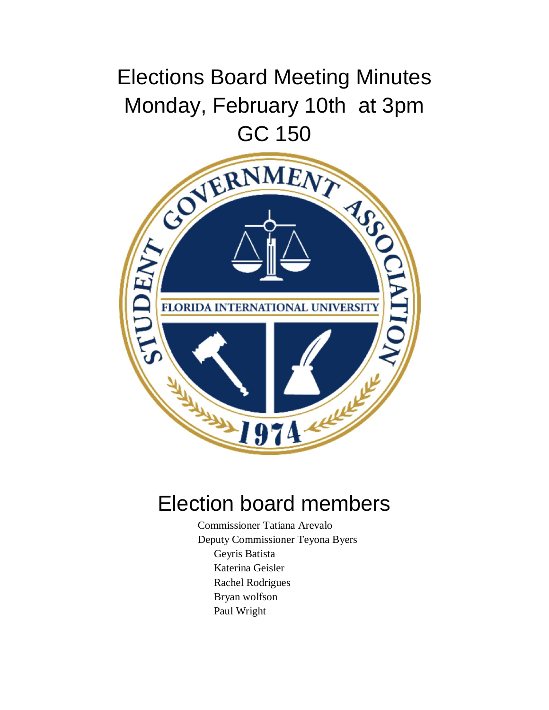## Elections Board Meeting Minutes Monday, February 10th at 3pm



## Election board members

Commissioner Tatiana Arevalo Deputy Commissioner Teyona Byers Geyris Batista Katerina Geisler Rachel Rodrigues Bryan wolfson Paul Wright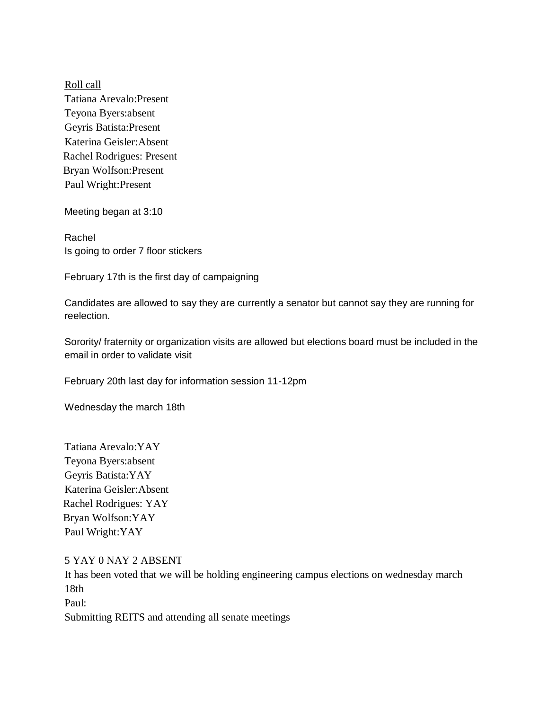Roll call Tatiana Arevalo:Present Teyona Byers:absent Geyris Batista:Present Katerina Geisler:Absent Rachel Rodrigues: Present Bryan Wolfson:Present Paul Wright:Present

Meeting began at 3:10

Rachel Is going to order 7 floor stickers

February 17th is the first day of campaigning

Candidates are allowed to say they are currently a senator but cannot say they are running for reelection.

Sorority/ fraternity or organization visits are allowed but elections board must be included in the email in order to validate visit

February 20th last day for information session 11-12pm

Wednesday the march 18th

Tatiana Arevalo:YAY Teyona Byers:absent Geyris Batista:YAY Katerina Geisler:Absent Rachel Rodrigues: YAY Bryan Wolfson:YAY Paul Wright:YAY

5 YAY 0 NAY 2 ABSENT It has been voted that we will be holding engineering campus elections on wednesday march 18th Paul: Submitting REITS and attending all senate meetings